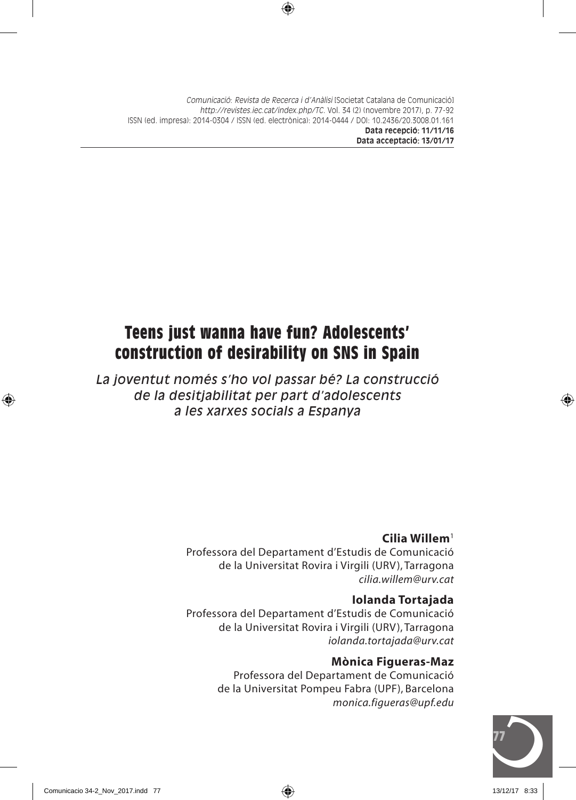# **Teens just wanna have fun? Adolescents' construction of desirability on SNS in Spain**

*La joventut només s'ho vol passar bé? La construcció de la desitjabilitat per part d'adolescents a les xarxes socials a Espanya*

### **Cilia Willem**<sup>1</sup>

Professora del Departament d'Estudis de Comunicació de la Universitat Rovira i Virgili (URV), Tarragona *cilia.willem@urv.cat*

### **Iolanda Tortajada**

Professora del Departament d'Estudis de Comunicació de la Universitat Rovira i Virgili (URV), Tarragona *iolanda.tortajada@urv.cat*

### **Mònica Figueras-Maz**

Professora del Departament de Comunicació de la Universitat Pompeu Fabra (UPF), Barcelona *monica.figueras@upf.edu*

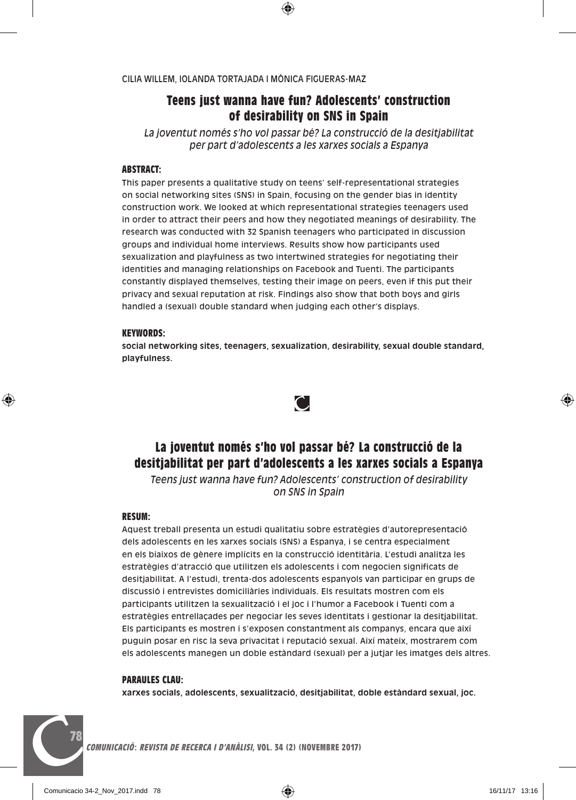### **Teens just wanna have fun? Adolescents' construction of desirability on SNS in Spain**

*La joventut només s'ho vol passar bé? La construcció de la desitjabilitat per part d'adolescents a les xarxes socials a Espanya*

#### **ABSTRACT:**

This paper presents a qualitative study on teens' self-representational strategies on social networking sites (SNS) in Spain, focusing on the gender bias in identity construction work. We looked at which representational strategies teenagers used in order to attract their peers and how they negotiated meanings of desirability. The research was conducted with 32 Spanish teenagers who participated in discussion groups and individual home interviews. Results show how participants used sexualization and playfulness as two intertwined strategies for negotiating their identities and managing relationships on Facebook and Tuenti. The participants constantly displayed themselves, testing their image on peers, even if this put their privacy and sexual reputation at risk. Findings also show that both boys and girls handled a (sexual) double standard when judging each other's displays.

#### **KEYWORDS:**

**social networking sites, teenagers, sexualization, desirability, sexual double standard, playfulness.**



### **La joventut només s'ho vol passar bé? La construcció de la desitjabilitat per part d'adolescents a les xarxes socials a Espanya**

*Teens just wanna have fun? Adolescents' construction of desirability on SNS in Spain*

#### **RESUM:**

Aquest treball presenta un estudi qualitatiu sobre estratègies d'autorepresentació dels adolescents en les xarxes socials (SNS) a Espanya, i se centra especialment en els biaixos de gènere implícits en la construcció identitària. L'estudi analitza les estratègies d'atracció que utilitzen els adolescents i com negocien significats de desitjabilitat. A l'estudi, trenta-dos adolescents espanyols van participar en grups de discussió i entrevistes domiciliàries individuals. Els resultats mostren com els participants utilitzen la sexualització i el joc i l'humor a Facebook i Tuenti com a estratègies entrellaçades per negociar les seves identitats i gestionar la desitjabilitat. Els participants es mostren i s'exposen constantment als companys, encara que així puguin posar en risc la seva privacitat i reputació sexual. Així mateix, mostrarem com els adolescents manegen un doble estàndard (sexual) per a jutjar les imatges dels altres.

#### **PARAULES CLAU:**

**78**

**xarxes socials, adolescents, sexualització, desitjabilitat, doble estàndard sexual, joc.**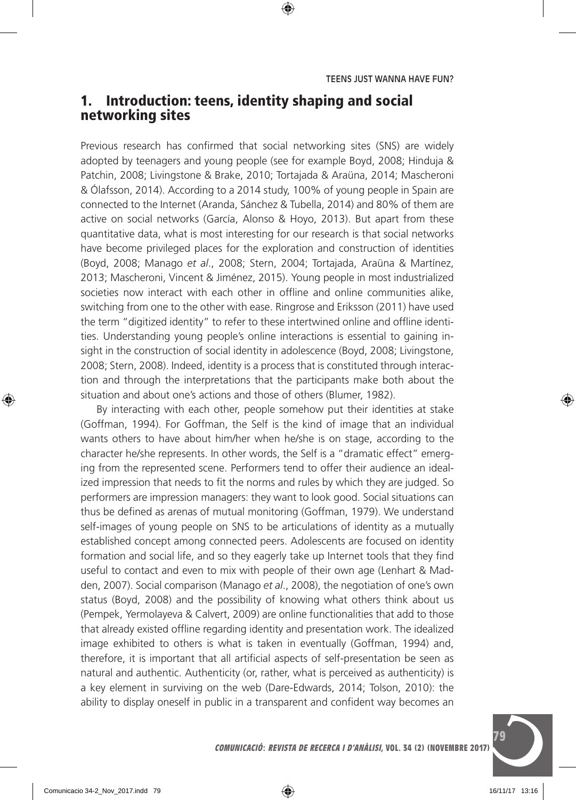## 1. Introduction: teens, identity shaping and social networking sites

Previous research has confirmed that social networking sites (SNS) are widely adopted by teenagers and young people (see for example Boyd, 2008; Hinduja & Patchin, 2008; Livingstone & Brake, 2010; Tortajada & Araüna, 2014; Mascheroni & Ólafsson, 2014). According to a 2014 study, 100% of young people in Spain are connected to the Internet (Aranda, Sánchez & Tubella, 2014) and 80% of them are active on social networks (García, Alonso & Hoyo, 2013). But apart from these quantitative data, what is most interesting for our research is that social networks have become privileged places for the exploration and construction of identities (Boyd, 2008; Manago *et al*., 2008; Stern, 2004; Tortajada, Araüna & Martínez, 2013; Mascheroni, Vincent & Jiménez, 2015). Young people in most industrialized societies now interact with each other in offline and online communities alike, switching from one to the other with ease. Ringrose and Eriksson (2011) have used the term "digitized identity" to refer to these intertwined online and offline identities. Understanding young people's online interactions is essential to gaining insight in the construction of social identity in adolescence (Boyd, 2008; Livingstone, 2008; Stern, 2008). Indeed, identity is a process that is constituted through interaction and through the interpretations that the participants make both about the situation and about one's actions and those of others (Blumer, 1982).

By interacting with each other, people somehow put their identities at stake (Goffman, 1994). For Goffman, the Self is the kind of image that an individual wants others to have about him/her when he/she is on stage, according to the character he/she represents. In other words, the Self is a "dramatic effect" emerging from the represented scene. Performers tend to offer their audience an idealized impression that needs to fit the norms and rules by which they are judged. So performers are impression managers: they want to look good. Social situations can thus be defined as arenas of mutual monitoring (Goffman, 1979). We understand self-images of young people on SNS to be articulations of identity as a mutually established concept among connected peers. Adolescents are focused on identity formation and social life, and so they eagerly take up Internet tools that they find useful to contact and even to mix with people of their own age (Lenhart & Madden, 2007). Social comparison (Manago *et al*., 2008), the negotiation of one's own status (Boyd, 2008) and the possibility of knowing what others think about us (Pempek, Yermolayeva & Calvert, 2009) are online functionalities that add to those that already existed offline regarding identity and presentation work. The idealized image exhibited to others is what is taken in eventually (Goffman, 1994) and, therefore, it is important that all artificial aspects of self-presentation be seen as natural and authentic. Authenticity (or, rather, what is perceived as authenticity) is a key element in surviving on the web (Dare-Edwards, 2014; Tolson, 2010): the ability to display oneself in public in a transparent and confident way becomes an

**C**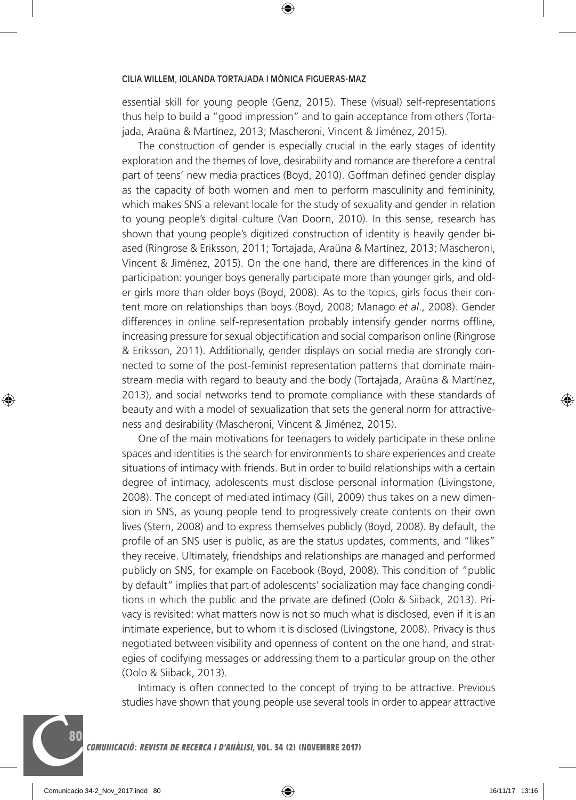essential skill for young people (Genz, 2015). These (visual) self-representations thus help to build a "good impression" and to gain acceptance from others (Tortajada, Araüna & Martínez, 2013; Mascheroni, Vincent & Jiménez, 2015).

The construction of gender is especially crucial in the early stages of identity exploration and the themes of love, desirability and romance are therefore a central part of teens' new media practices (Boyd, 2010). Goffman defined gender display as the capacity of both women and men to perform masculinity and femininity, which makes SNS a relevant locale for the study of sexuality and gender in relation to young people's digital culture (Van Doorn, 2010). In this sense, research has shown that young people's digitized construction of identity is heavily gender biased (Ringrose & Eriksson, 2011; Tortajada, Araüna & Martínez, 2013; Mascheroni, Vincent & Jiménez, 2015). On the one hand, there are differences in the kind of participation: younger boys generally participate more than younger girls, and older girls more than older boys (Boyd, 2008). As to the topics, girls focus their content more on relationships than boys (Boyd, 2008; Manago *et al*., 2008). Gender differences in online self-representation probably intensify gender norms offline, increasing pressure for sexual objectification and social comparison online (Ringrose & Eriksson, 2011). Additionally, gender displays on social media are strongly connected to some of the post-feminist representation patterns that dominate mainstream media with regard to beauty and the body (Tortajada, Araüna & Martínez, 2013), and social networks tend to promote compliance with these standards of beauty and with a model of sexualization that sets the general norm for attractiveness and desirability (Mascheroni, Vincent & Jiménez, 2015).

One of the main motivations for teenagers to widely participate in these online spaces and identities is the search for environments to share experiences and create situations of intimacy with friends. But in order to build relationships with a certain degree of intimacy, adolescents must disclose personal information (Livingstone, 2008). The concept of mediated intimacy (Gill, 2009) thus takes on a new dimension in SNS, as young people tend to progressively create contents on their own lives (Stern, 2008) and to express themselves publicly (Boyd, 2008). By default, the profile of an SNS user is public, as are the status updates, comments, and "likes" they receive. Ultimately, friendships and relationships are managed and performed publicly on SNS, for example on Facebook (Boyd, 2008). This condition of "public by default" implies that part of adolescents' socialization may face changing conditions in which the public and the private are defined (Oolo & Siiback, 2013). Privacy is revisited: what matters now is not so much what is disclosed, even if it is an intimate experience, but to whom it is disclosed (Livingstone, 2008). Privacy is thus negotiated between visibility and openness of content on the one hand, and strategies of codifying messages or addressing them to a particular group on the other (Oolo & Siiback, 2013).

Intimacy is often connected to the concept of trying to be attractive. Previous studies have shown that young people use several tools in order to appear attractive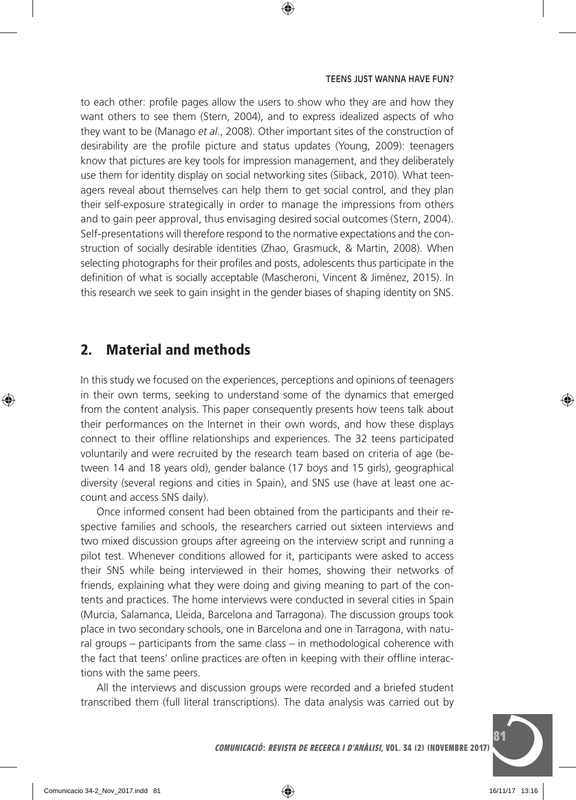to each other: profile pages allow the users to show who they are and how they want others to see them (Stern, 2004), and to express idealized aspects of who they want to be (Manago *et al*., 2008). Other important sites of the construction of desirability are the profile picture and status updates (Young, 2009): teenagers know that pictures are key tools for impression management, and they deliberately use them for identity display on social networking sites (Siiback, 2010). What teenagers reveal about themselves can help them to get social control, and they plan their self-exposure strategically in order to manage the impressions from others and to gain peer approval, thus envisaging desired social outcomes (Stern, 2004). Self-presentations will therefore respond to the normative expectations and the construction of socially desirable identities (Zhao, Grasmuck, & Martin, 2008). When selecting photographs for their profiles and posts, adolescents thus participate in the definition of what is socially acceptable (Mascheroni, Vincent & Jiménez, 2015). In this research we seek to gain insight in the gender biases of shaping identity on SNS.

# 2. Material and methods

In this study we focused on the experiences, perceptions and opinions of teenagers in their own terms, seeking to understand some of the dynamics that emerged from the content analysis. This paper consequently presents how teens talk about their performances on the Internet in their own words, and how these displays connect to their offline relationships and experiences. The 32 teens participated voluntarily and were recruited by the research team based on criteria of age (between 14 and 18 years old), gender balance (17 boys and 15 girls), geographical diversity (several regions and cities in Spain), and SNS use (have at least one account and access SNS daily).

Once informed consent had been obtained from the participants and their respective families and schools, the researchers carried out sixteen interviews and two mixed discussion groups after agreeing on the interview script and running a pilot test. Whenever conditions allowed for it, participants were asked to access their SNS while being interviewed in their homes, showing their networks of friends, explaining what they were doing and giving meaning to part of the contents and practices. The home interviews were conducted in several cities in Spain (Murcia, Salamanca, Lleida, Barcelona and Tarragona). The discussion groups took place in two secondary schools, one in Barcelona and one in Tarragona, with natural groups – participants from the same class – in methodological coherence with the fact that teens' online practices are often in keeping with their offline interactions with the same peers.

All the interviews and discussion groups were recorded and a briefed student transcribed them (full literal transcriptions). The data analysis was carried out by

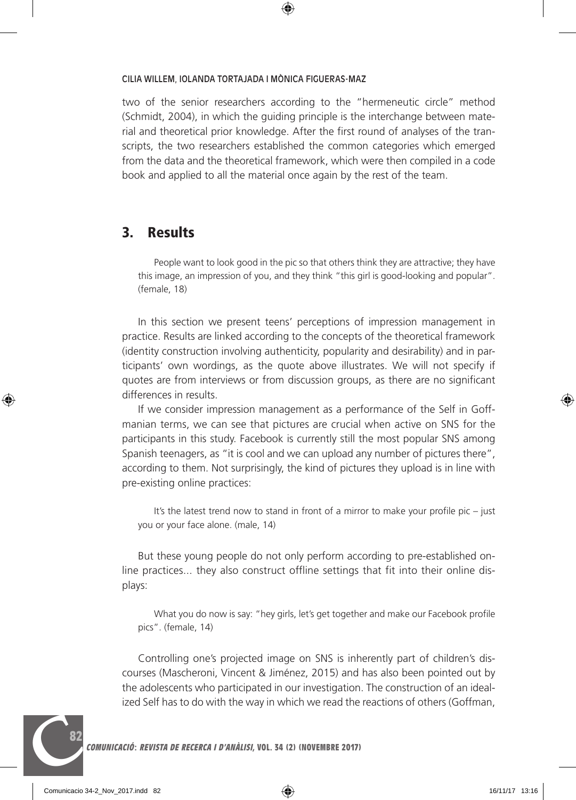two of the senior researchers according to the "hermeneutic circle" method (Schmidt, 2004), in which the guiding principle is the interchange between material and theoretical prior knowledge. After the first round of analyses of the transcripts, the two researchers established the common categories which emerged from the data and the theoretical framework, which were then compiled in a code book and applied to all the material once again by the rest of the team.

### 3. Results

People want to look good in the pic so that others think they are attractive; they have this image, an impression of you, and they think "this girl is good-looking and popular". (female, 18)

In this section we present teens' perceptions of impression management in practice. Results are linked according to the concepts of the theoretical framework (identity construction involving authenticity, popularity and desirability) and in participants' own wordings, as the quote above illustrates. We will not specify if quotes are from interviews or from discussion groups, as there are no significant differences in results.

If we consider impression management as a performance of the Self in Goffmanian terms, we can see that pictures are crucial when active on SNS for the participants in this study. Facebook is currently still the most popular SNS among Spanish teenagers, as "it is cool and we can upload any number of pictures there", according to them. Not surprisingly, the kind of pictures they upload is in line with pre-existing online practices:

It's the latest trend now to stand in front of a mirror to make your profile pic – just you or your face alone. (male, 14)

But these young people do not only perform according to pre-established online practices... they also construct offline settings that fit into their online displays:

What you do now is say: "hey girls, let's get together and make our Facebook profile pics". (female, 14)

Controlling one's projected image on SNS is inherently part of children's discourses (Mascheroni, Vincent & Jiménez, 2015) and has also been pointed out by the adolescents who participated in our investigation. The construction of an idealized Self has to do with the way in which we read the reactions of others (Goffman,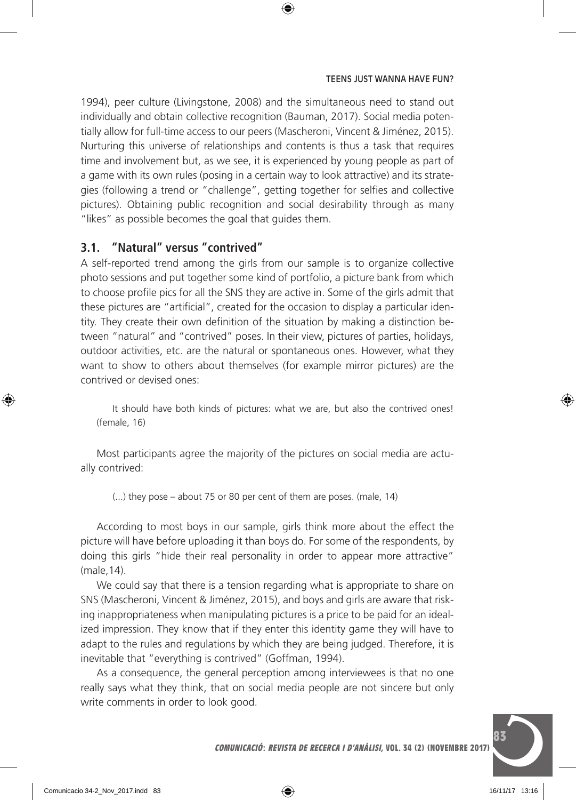1994), peer culture (Livingstone, 2008) and the simultaneous need to stand out individually and obtain collective recognition (Bauman, 2017). Social media potentially allow for full-time access to our peers (Mascheroni, Vincent & Jiménez, 2015). Nurturing this universe of relationships and contents is thus a task that requires time and involvement but, as we see, it is experienced by young people as part of a game with its own rules (posing in a certain way to look attractive) and its strategies (following a trend or "challenge", getting together for selfies and collective pictures). Obtaining public recognition and social desirability through as many "likes" as possible becomes the goal that guides them.

### **3.1. "Natural" versus "contrived"**

A self-reported trend among the girls from our sample is to organize collective photo sessions and put together some kind of portfolio, a picture bank from which to choose profile pics for all the SNS they are active in. Some of the girls admit that these pictures are "artificial", created for the occasion to display a particular identity. They create their own definition of the situation by making a distinction between "natural" and "contrived" poses. In their view, pictures of parties, holidays, outdoor activities, etc. are the natural or spontaneous ones. However, what they want to show to others about themselves (for example mirror pictures) are the contrived or devised ones:

It should have both kinds of pictures: what we are, but also the contrived ones! (female, 16)

Most participants agree the majority of the pictures on social media are actually contrived:

(...) they pose – about 75 or 80 per cent of them are poses. (male, 14)

According to most boys in our sample, girls think more about the effect the picture will have before uploading it than boys do. For some of the respondents, by doing this girls "hide their real personality in order to appear more attractive" (male,14).

We could say that there is a tension regarding what is appropriate to share on SNS (Mascheroni, Vincent & Jiménez, 2015), and boys and girls are aware that risking inappropriateness when manipulating pictures is a price to be paid for an idealized impression. They know that if they enter this identity game they will have to adapt to the rules and regulations by which they are being judged. Therefore, it is inevitable that "everything is contrived" (Goffman, 1994).

As a consequence, the general perception among interviewees is that no one really says what they think, that on social media people are not sincere but only write comments in order to look good.

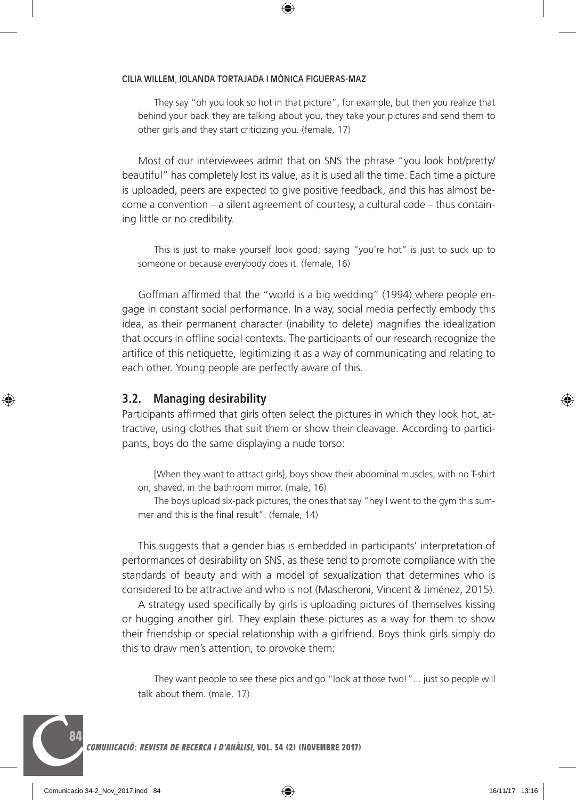They say "oh you look so hot in that picture", for example, but then you realize that behind your back they are talking about you, they take your pictures and send them to other girls and they start criticizing you. (female, 17)

Most of our interviewees admit that on SNS the phrase "you look hot/pretty/ beautiful" has completely lost its value, as it is used all the time. Each time a picture is uploaded, peers are expected to give positive feedback, and this has almost become a convention – a silent agreement of courtesy, a cultural code – thus containing little or no credibility.

This is just to make yourself look good; saying "you're hot" is just to suck up to someone or because everybody does it. (female, 16)

Goffman affirmed that the "world is a big wedding" (1994) where people engage in constant social performance. In a way, social media perfectly embody this idea, as their permanent character (inability to delete) magnifies the idealization that occurs in offline social contexts. The participants of our research recognize the artifice of this netiquette, legitimizing it as a way of communicating and relating to each other. Young people are perfectly aware of this.

### **3.2. Managing desirability**

Participants affirmed that girls often select the pictures in which they look hot, attractive, using clothes that suit them or show their cleavage. According to participants, boys do the same displaying a nude torso:

[When they want to attract girls], boys show their abdominal muscles, with no T-shirt on, shaved, in the bathroom mirror. (male, 16)

The boys upload six-pack pictures, the ones that say "hey I went to the gym this summer and this is the final result". (female, 14)

This suggests that a gender bias is embedded in participants' interpretation of performances of desirability on SNS, as these tend to promote compliance with the standards of beauty and with a model of sexualization that determines who is considered to be attractive and who is not (Mascheroni, Vincent & Jiménez, 2015).

A strategy used specifically by girls is uploading pictures of themselves kissing or hugging another girl. They explain these pictures as a way for them to show their friendship or special relationship with a girlfriend. Boys think girls simply do this to draw men's attention, to provoke them:

They want people to see these pics and go "look at those two!"... just so people will talk about them. (male, 17)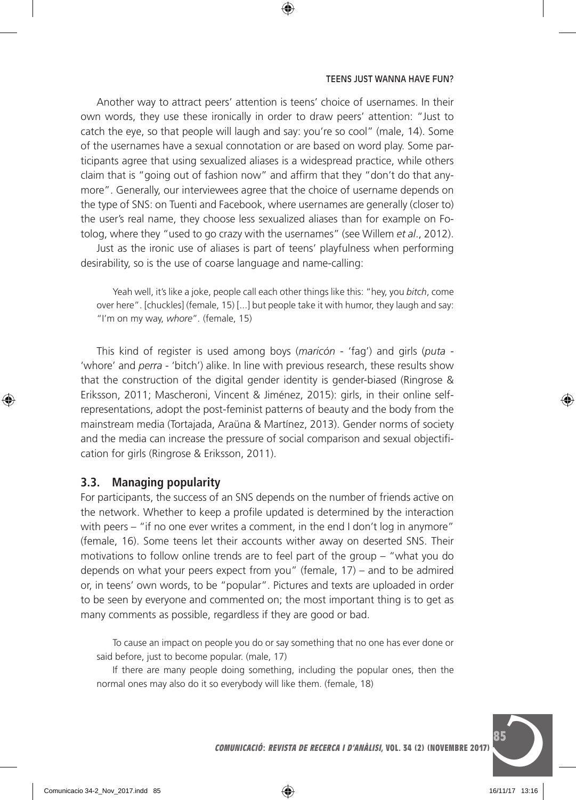#### TEENS JUST WANNA HAVE FUN?

Another way to attract peers' attention is teens' choice of usernames. In their own words, they use these ironically in order to draw peers' attention: "Just to catch the eye, so that people will laugh and say: you're so cool" (male, 14). Some of the usernames have a sexual connotation or are based on word play. Some participants agree that using sexualized aliases is a widespread practice, while others claim that is "going out of fashion now" and affirm that they "don't do that anymore". Generally, our interviewees agree that the choice of username depends on the type of SNS: on Tuenti and Facebook, where usernames are generally (closer to) the user's real name, they choose less sexualized aliases than for example on Fotolog, where they "used to go crazy with the usernames" (see Willem *et al*., 2012).

Just as the ironic use of aliases is part of teens' playfulness when performing desirability, so is the use of coarse language and name-calling:

Yeah well, it's like a joke, people call each other things like this: "hey, you *bitch*, come over here". [chuckles] (female, 15) [...] but people take it with humor, they laugh and say: "I'm on my way, *whore*"*.* (female, 15)

This kind of register is used among boys (*maricón -* 'fag') and girls (*puta -*  'whore' and *perra* - 'bitch') alike. In line with previous research, these results show that the construction of the digital gender identity is gender-biased (Ringrose & Eriksson, 2011; Mascheroni, Vincent & Jiménez, 2015): girls, in their online selfrepresentations, adopt the post-feminist patterns of beauty and the body from the mainstream media (Tortajada, Araüna & Martínez, 2013). Gender norms of society and the media can increase the pressure of social comparison and sexual objectification for girls (Ringrose & Eriksson, 2011).

### **3.3. Managing popularity**

For participants, the success of an SNS depends on the number of friends active on the network. Whether to keep a profile updated is determined by the interaction with peers – "if no one ever writes a comment, in the end I don't log in anymore" (female, 16). Some teens let their accounts wither away on deserted SNS. Their motivations to follow online trends are to feel part of the group – "what you do depends on what your peers expect from you" (female, 17) – and to be admired or, in teens' own words, to be "popular". Pictures and texts are uploaded in order to be seen by everyone and commented on; the most important thing is to get as many comments as possible, regardless if they are good or bad.

To cause an impact on people you do or say something that no one has ever done or said before, just to become popular. (male, 17)

If there are many people doing something, including the popular ones, then the normal ones may also do it so everybody will like them. (female, 18)

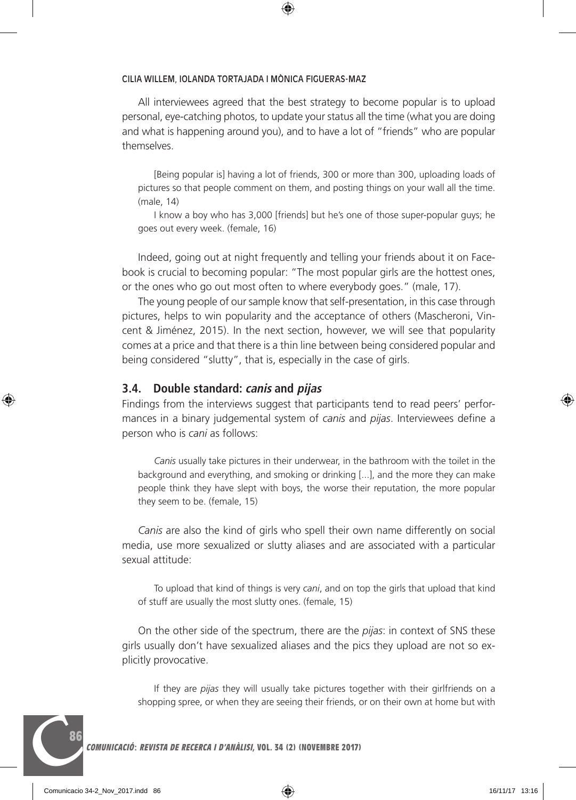All interviewees agreed that the best strategy to become popular is to upload personal, eye-catching photos, to update your status all the time (what you are doing and what is happening around you), and to have a lot of "friends" who are popular themselves.

[Being popular is] having a lot of friends, 300 or more than 300, uploading loads of pictures so that people comment on them, and posting things on your wall all the time. (male, 14)

I know a boy who has 3,000 [friends] but he's one of those super-popular guys; he goes out every week. (female, 16)

Indeed, going out at night frequently and telling your friends about it on Facebook is crucial to becoming popular: "The most popular girls are the hottest ones, or the ones who go out most often to where everybody goes." (male, 17).

The young people of our sample know that self-presentation, in this case through pictures, helps to win popularity and the acceptance of others (Mascheroni, Vincent & Jiménez, 2015). In the next section, however, we will see that popularity comes at a price and that there is a thin line between being considered popular and being considered "slutty", that is, especially in the case of girls.

### **3.4. Double standard: canis and pijas**

Findings from the interviews suggest that participants tend to read peers' performances in a binary judgemental system of *canis* and *pijas*. Interviewees define a person who is *cani* as follows:

*Canis* usually take pictures in their underwear, in the bathroom with the toilet in the background and everything, and smoking or drinking [...], and the more they can make people think they have slept with boys, the worse their reputation, the more popular they seem to be. (female, 15)

*Canis* are also the kind of girls who spell their own name differently on social media, use more sexualized or slutty aliases and are associated with a particular sexual attitude:

To upload that kind of things is very *cani*, and on top the girls that upload that kind of stuff are usually the most slutty ones. (female, 15)

On the other side of the spectrum, there are the *pijas*: in context of SNS these girls usually don't have sexualized aliases and the pics they upload are not so explicitly provocative.

If they are *pijas* they will usually take pictures together with their girlfriends on a shopping spree, or when they are seeing their friends, or on their own at home but with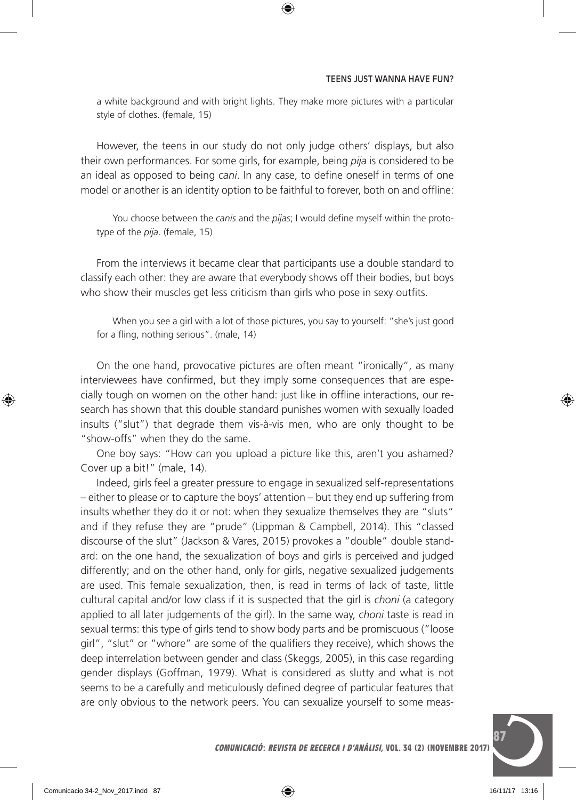#### TEENS JUST WANNA HAVE FUN?

a white background and with bright lights. They make more pictures with a particular style of clothes. (female, 15)

However, the teens in our study do not only judge others' displays, but also their own performances. For some girls, for example, being *pija* is considered to be an ideal as opposed to being *cani*. In any case, to define oneself in terms of one model or another is an identity option to be faithful to forever, both on and offline:

You choose between the *canis* and the *pijas*; I would define myself within the prototype of the *pija*. (female, 15)

From the interviews it became clear that participants use a double standard to classify each other: they are aware that everybody shows off their bodies, but boys who show their muscles get less criticism than girls who pose in sexy outfits.

When you see a girl with a lot of those pictures, you say to yourself: "she's just good for a fling, nothing serious". (male, 14)

On the one hand, provocative pictures are often meant "ironically", as many interviewees have confirmed, but they imply some consequences that are especially tough on women on the other hand: just like in offline interactions, our research has shown that this double standard punishes women with sexually loaded insults ("slut") that degrade them vis-à-vis men, who are only thought to be "show-offs" when they do the same.

One boy says: "How can you upload a picture like this, aren't you ashamed? Cover up a bit!" (male, 14).

Indeed, girls feel a greater pressure to engage in sexualized self-representations – either to please or to capture the boys' attention – but they end up suffering from insults whether they do it or not: when they sexualize themselves they are "sluts" and if they refuse they are "prude" (Lippman & Campbell, 2014). This "classed discourse of the slut" (Jackson & Vares, 2015) provokes a "double" double standard: on the one hand, the sexualization of boys and girls is perceived and judged differently; and on the other hand, only for girls, negative sexualized judgements are used. This female sexualization, then, is read in terms of lack of taste, little cultural capital and/or low class if it is suspected that the girl is *choni* (a category applied to all later judgements of the girl). In the same way, *choni* taste is read in sexual terms: this type of girls tend to show body parts and be promiscuous ("loose girl", "slut" or "whore" are some of the qualifiers they receive), which shows the deep interrelation between gender and class (Skeggs, 2005), in this case regarding gender displays (Goffman, 1979). What is considered as slutty and what is not seems to be a carefully and meticulously defined degree of particular features that are only obvious to the network peers. You can sexualize yourself to some meas-

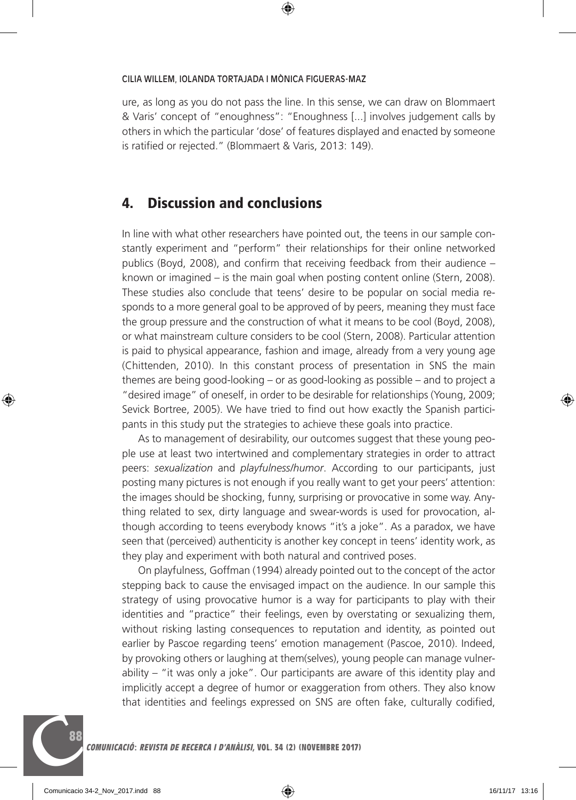ure, as long as you do not pass the line. In this sense, we can draw on Blommaert & Varis' concept of "enoughness": "Enoughness [...] involves judgement calls by others in which the particular 'dose' of features displayed and enacted by someone is ratified or rejected." (Blommaert & Varis, 2013: 149).

# 4. Discussion and conclusions

In line with what other researchers have pointed out, the teens in our sample constantly experiment and "perform" their relationships for their online networked publics (Boyd, 2008), and confirm that receiving feedback from their audience – known or imagined – is the main goal when posting content online (Stern, 2008). These studies also conclude that teens' desire to be popular on social media responds to a more general goal to be approved of by peers, meaning they must face the group pressure and the construction of what it means to be cool (Boyd, 2008), or what mainstream culture considers to be cool (Stern, 2008). Particular attention is paid to physical appearance, fashion and image, already from a very young age (Chittenden, 2010). In this constant process of presentation in SNS the main themes are being good-looking – or as good-looking as possible – and to project a "desired image" of oneself, in order to be desirable for relationships (Young, 2009; Sevick Bortree, 2005). We have tried to find out how exactly the Spanish participants in this study put the strategies to achieve these goals into practice.

As to management of desirability, our outcomes suggest that these young people use at least two intertwined and complementary strategies in order to attract peers: *sexualization* and *playfulness/humor*. According to our participants, just posting many pictures is not enough if you really want to get your peers' attention: the images should be shocking, funny, surprising or provocative in some way. Anything related to sex, dirty language and swear-words is used for provocation, although according to teens everybody knows "it's a joke". As a paradox, we have seen that (perceived) authenticity is another key concept in teens' identity work, as they play and experiment with both natural and contrived poses.

On playfulness, Goffman (1994) already pointed out to the concept of the actor stepping back to cause the envisaged impact on the audience. In our sample this strategy of using provocative humor is a way for participants to play with their identities and "practice" their feelings, even by overstating or sexualizing them, without risking lasting consequences to reputation and identity, as pointed out earlier by Pascoe regarding teens' emotion management (Pascoe, 2010). Indeed, by provoking others or laughing at them(selves), young people can manage vulnerability – "it was only a joke". Our participants are aware of this identity play and implicitly accept a degree of humor or exaggeration from others. They also know that identities and feelings expressed on SNS are often fake, culturally codified,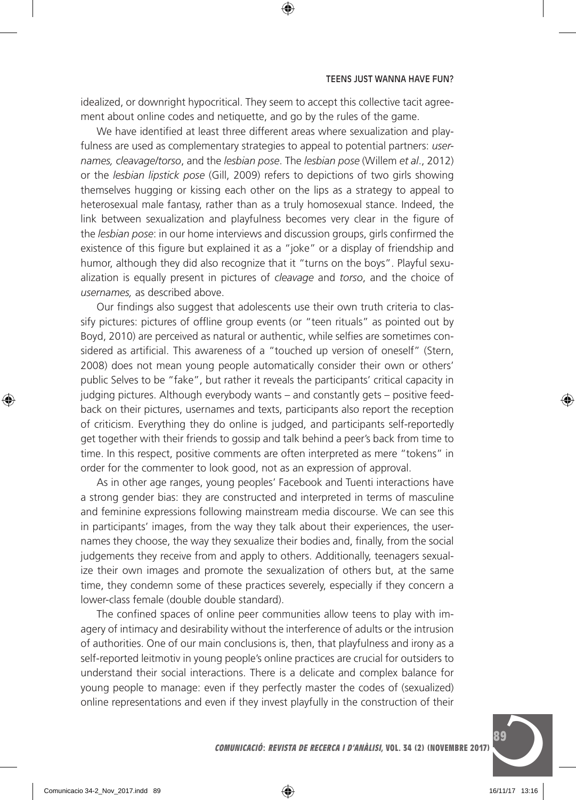idealized, or downright hypocritical. They seem to accept this collective tacit agreement about online codes and netiquette, and go by the rules of the game.

We have identified at least three different areas where sexualization and playfulness are used as complementary strategies to appeal to potential partners: *usernames, cleavage/torso*, and the *lesbian pose*. The *lesbian pose* (Willem *et al*., 2012) or the *lesbian lipstick pose* (Gill, 2009) refers to depictions of two girls showing themselves hugging or kissing each other on the lips as a strategy to appeal to heterosexual male fantasy, rather than as a truly homosexual stance. Indeed, the link between sexualization and playfulness becomes very clear in the figure of the *lesbian pose*: in our home interviews and discussion groups, girls confirmed the existence of this figure but explained it as a "joke" or a display of friendship and humor, although they did also recognize that it "turns on the boys". Playful sexualization is equally present in pictures of *cleavage* and *torso*, and the choice of *usernames,* as described above.

Our findings also suggest that adolescents use their own truth criteria to classify pictures: pictures of offline group events (or "teen rituals" as pointed out by Boyd, 2010) are perceived as natural or authentic, while selfies are sometimes considered as artificial. This awareness of a "touched up version of oneself" (Stern, 2008) does not mean young people automatically consider their own or others' public Selves to be "fake", but rather it reveals the participants' critical capacity in judging pictures. Although everybody wants – and constantly gets – positive feedback on their pictures, usernames and texts, participants also report the reception of criticism. Everything they do online is judged, and participants self-reportedly get together with their friends to gossip and talk behind a peer's back from time to time. In this respect, positive comments are often interpreted as mere "tokens" in order for the commenter to look good, not as an expression of approval.

As in other age ranges, young peoples' Facebook and Tuenti interactions have a strong gender bias: they are constructed and interpreted in terms of masculine and feminine expressions following mainstream media discourse. We can see this in participants' images, from the way they talk about their experiences, the usernames they choose, the way they sexualize their bodies and, finally, from the social judgements they receive from and apply to others. Additionally, teenagers sexualize their own images and promote the sexualization of others but, at the same time, they condemn some of these practices severely, especially if they concern a lower-class female (double double standard).

The confined spaces of online peer communities allow teens to play with imagery of intimacy and desirability without the interference of adults or the intrusion of authorities. One of our main conclusions is, then, that playfulness and irony as a self-reported leitmotiv in young people's online practices are crucial for outsiders to understand their social interactions. There is a delicate and complex balance for young people to manage: even if they perfectly master the codes of (sexualized) online representations and even if they invest playfully in the construction of their

Ces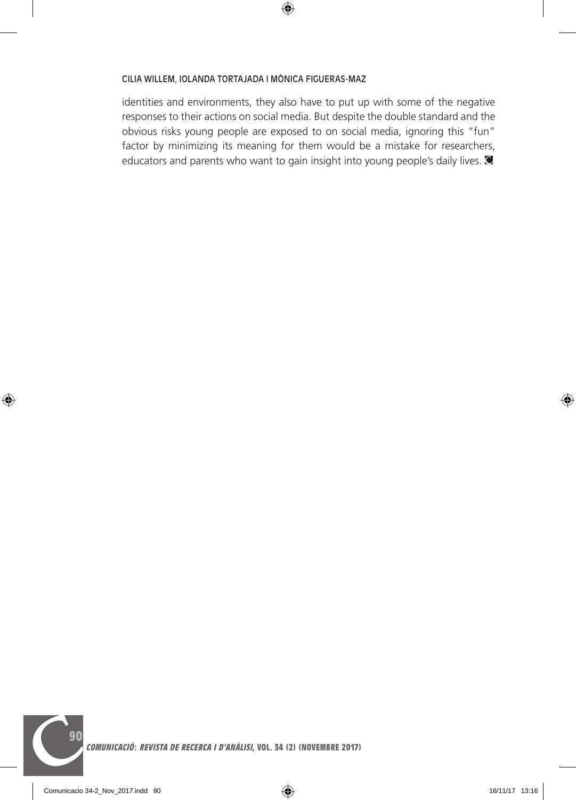identities and environments, they also have to put up with some of the negative responses to their actions on social media. But despite the double standard and the obvious risks young people are exposed to on social media, ignoring this "fun" factor by minimizing its meaning for them would be a mistake for researchers, educators and parents who want to gain insight into young people's daily lives.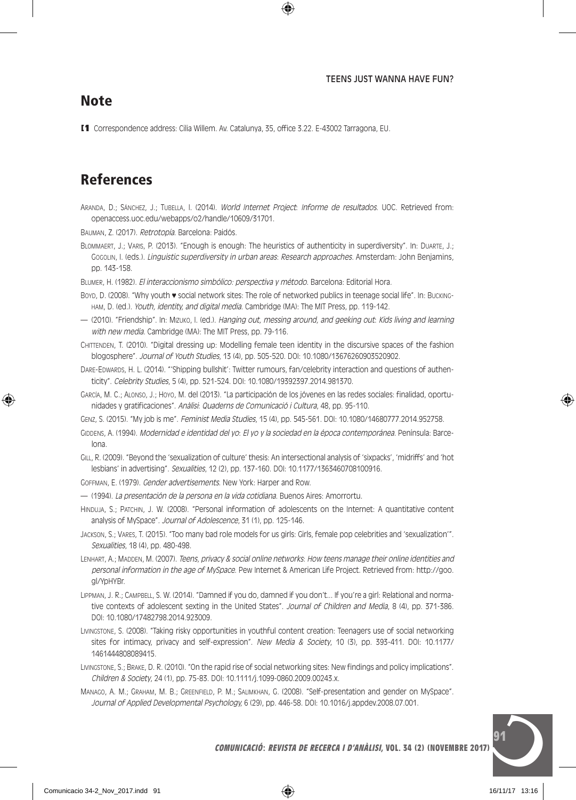### **Note**

[1 Correspondence address: Cilia Willem. Av. Catalunya, 35, office 3.22. E-43002 Tarragona, EU.

# References

Aranda, D.; Sánchez, J.; Tubella, I. (2014). World Internet Project: Informe de resultados. UOC. Retrieved from: openaccess.uoc.edu/webapps/o2/handle/10609/31701.

Bauman, Z. (2017). Retrotopía. Barcelona: Paidós.

Blommaert, J.; Varis, P. (2013). "Enough is enough: The heuristics of authenticity in superdiversity". In: Duarte, J.; Gogolin, I. (eds.). Linguistic superdiversity in urban areas: Research approaches. Amsterdam: John Benjamins, pp. 143-158.

Blumer, H. (1982). El interaccionismo simbólico: perspectiva y método. Barcelona: Editorial Hora.

- Boyp, D. (2008). "Why youth ♥ social network sites: The role of networked publics in teenage social life". In: Buckingham, D. (ed.). Youth, identity, and digital media. Cambridge (MA): The MIT Press, pp. 119-142.
- (2010). "Friendship". In: Mizuko, I. (ed.). Hanging out, messing around, and geeking out: Kids living and learning with new media. Cambridge (MA): The MIT Press, pp. 79-116.

Chittenden, T. (2010). "Digital dressing up: Modelling female teen identity in the discursive spaces of the fashion blogosphere". Journal of Youth Studies, 13 (4), pp. 505-520. DOI: 10.1080/13676260903520902.

- DARE-EDWARDS, H. L. (2014). "'Shipping bullshit': Twitter rumours, fan/celebrity interaction and questions of authenticity". Celebrity Studies, 5 (4), pp. 521-524. DOI: 10.1080/19392397.2014.981370.
- García, M. C.; Alonso, J.; Hoyo, M. del (2013). "La participación de los jóvenes en las redes sociales: finalidad, oportunidades y gratificaciones". Anàlisi: Quaderns de Comunicació i Cultura, 48, pp. 95-110.
- Genz, S. (2015). "My job is me". Feminist Media Studies, 15 (4), pp. 545-561. DOI: 10.1080/14680777.2014.952758.
- Gippens, A. (1994). Modernidad e identidad del vo: El yo y la sociedad en la época contemporánea. Península: Barcelona.
- Gill, R. (2009). "Beyond the 'sexualization of culture' thesis: An intersectional analysis of 'sixpacks', 'midriffs' and 'hot lesbians' in advertising". Sexualities, 12 (2), pp. 137-160. DOI: 10.1177/1363460708100916.
- Goffman, E. (1979). Gender advertisements. New York: Harper and Row.
- (1994). La presentación de la persona en la vida cotidiana. Buenos Aires: Amorrortu.
- Hinduja, S.; Patchin, J. W. (2008). "Personal information of adolescents on the Internet: A quantitative content analysis of MySpace". Journal of Adolescence, 31 (1), pp. 125-146.
- Jackson, S.; Vares, T. (2015). "Too many bad role models for us girls: Girls, female pop celebrities and 'sexualization'". Sexualities, 18 (4), pp. 480-498.
- LENHART, A.; MADDEN, M. (2007). Teens, privacy & social online networks: How teens manage their online identities and personal information in the age of MySpace. Pew Internet & American Life Project. Retrieved from: http://goo. gl/YpHYBr.
- Lippman, J. R.; Campbell, S. W. (2014). "Damned if you do, damned if you don't... If you're a girl: Relational and normative contexts of adolescent sexting in the United States". Journal of Children and Media, 8 (4), pp. 371-386. DOI: 10.1080/17482798.2014.923009.
- Livingstone, S. (2008). "Taking risky opportunities in youthful content creation: Teenagers use of social networking sites for intimacy, privacy and self-expression". New Media & Society, 10 (3), pp. 393-411. DOI: 10.1177/ 1461444808089415.
- Livingstone, S.; Brake, D. R. (2010). "On the rapid rise of social networking sites: New findings and policy implications". Children & Society, 24 (1), pp. 75-83. DOI: 10.1111/j.1099-0860.2009.00243.x.
- Manago, A. M.; Graham, M. B.; Greenfield, P. M.; Salimkhan, G. (2008). "Self-presentation and gender on MySpace". Journal of Applied Developmental Psychology, 6 (29), pp. 446-58. DOI: 10.1016/j.appdev.2008.07.001.